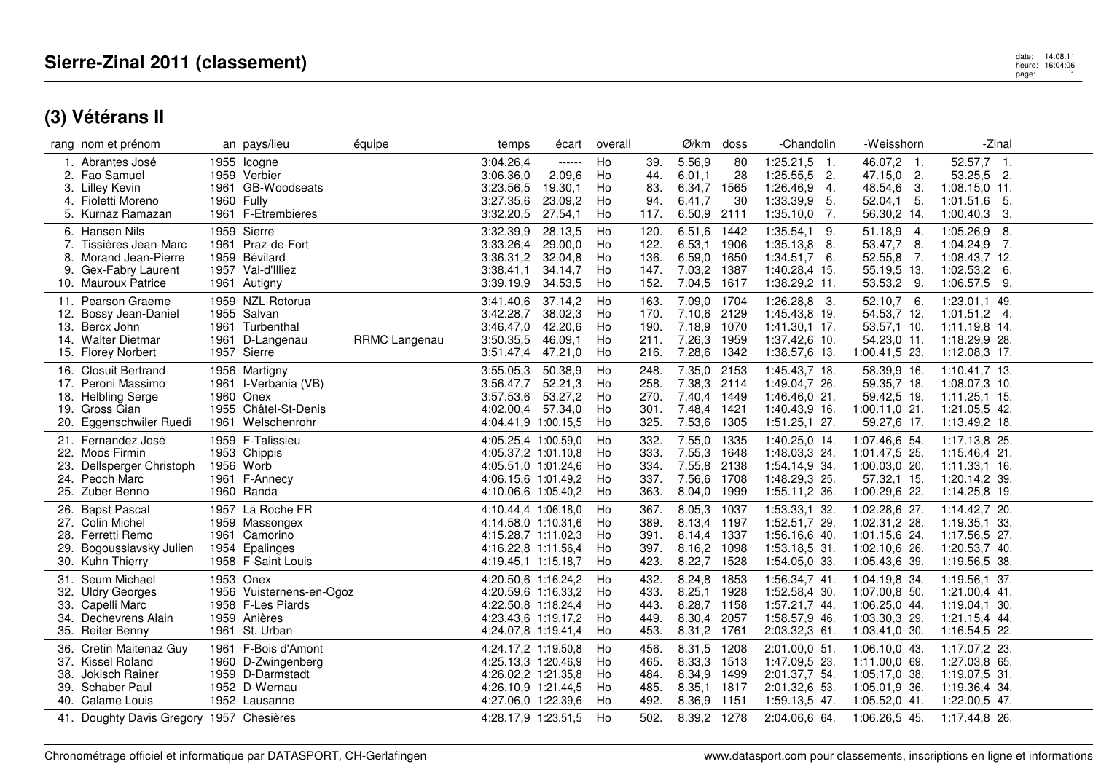|     | rang nom et prénom                       | an pays/lieu             | équipe        | temps               | écart   | overall |      | Ø/km        | doss | -Chandolin       | -Weisshorn       | -Zinal          |  |
|-----|------------------------------------------|--------------------------|---------------|---------------------|---------|---------|------|-------------|------|------------------|------------------|-----------------|--|
|     | 1. Abrantes José                         | 1955 Icogne              |               | 3:04.26,4           | ------  | Ho      | 39.  | 5.56,9      | 80   | $1:25.21,5$ 1.   | 46.07,2 1.       | $52.57,7$ 1.    |  |
|     | 2. Fao Samuel                            | 1959 Verbier             |               | 3:06.36,0           | 2.09,6  | Ho      | 44.  | 6.01,1      | 28   | $1:25.55,5$ 2.   | 47.15,0 2.       | 53.25,5 2.      |  |
|     | 3. Lilley Kevin                          | 1961 GB-Woodseats        |               | 3:23.56,5           | 19.30,1 | Ho      | 83.  | 6.34,7      | 1565 | 1:26.46,9<br>-4. | 48.54,6<br>- 3.  | $1:08.15,0$ 11. |  |
|     | 4. Fioletti Moreno                       | 1960 Fully               |               | 3:27.35,6           | 23.09,2 | Ho      | 94.  | 6.41,7      | 30   | 1:33.39,9<br>5.  | $52.04.1$ 5.     | $1:01.51,6$ 5.  |  |
|     | 5. Kurnaz Ramazan                        | 1961 F-Etrembieres       |               | 3:32.20,5           | 27.54,1 | Ho      | 117. | 6.50,9 2111 |      | $1:35.10,0$ 7.   | 56.30,2 14.      | $1:00.40,3$ 3.  |  |
|     |                                          |                          |               |                     |         |         |      |             |      |                  |                  |                 |  |
|     | 6. Hansen Nils                           | 1959 Sierre              |               | 3:32.39,9           | 28.13,5 | Ho      | 120. | 6.51,6      | 1442 | 1:35.54,1<br>9.  | 51.18,9<br>$-4.$ | $1:05.26,9$ 8.  |  |
|     | 7. Tissières Jean-Marc                   | 1961 Praz-de-Fort        |               | 3:33.26,4           | 29.00,0 | Ho      | 122. | 6.53,1      | 1906 | 1:35.13,8<br>-8. | 53.47,7 8.       | $1:04.24,9$ 7.  |  |
| 8.  | Morand Jean-Pierre                       | 1959 Bévilard            |               | 3:36.31,2           | 32.04,8 | Ho      | 136. | 6.59,0 1650 |      | $1:34.51,7$ 6.   | 52.55,8 7.       | 1:08.43,7 12.   |  |
| 9.  | Gex-Fabry Laurent                        | 1957 Val-d'Illiez        |               | 3:38.41,1           | 34.14,7 | Ho      | 147. | 7.03,2      | 1387 | 1:40.28,4 15.    | 55.19,5 13.      | $1:02.53,2$ 6.  |  |
|     | 10. Mauroux Patrice                      | 1961 Autigny             |               | 3:39.19,9           | 34.53,5 | Ho      | 152. | 7.04,5 1617 |      | 1:38.29,2 11.    | 53.53,2 9.       | $1:06.57,5$ 9.  |  |
|     | 11. Pearson Graeme                       | 1959 NZL-Rotorua         |               | 3:41.40,6           | 37.14,2 | Ho      | 163. | 7.09,0 1704 |      | $1:26.28,8$ 3.   | 52.10,7 6.       | 1:23.01.1 49.   |  |
|     | 12. Bossy Jean-Daniel                    | 1955 Salvan              |               | 3:42.28,7           | 38.02,3 | Ho      | 170. | 7.10,6 2129 |      | 1:45.43,8 19.    | 54.53,7 12.      | $1:01.51,2$ 4.  |  |
| 13. | Bercx John                               | 1961 Turbenthal          |               | 3:46.47,0           | 42.20.6 | Ho      | 190. | 7.18,9 1070 |      | $1:41.30,1$ 17.  | 53.57,1 10.      | 1:11.19,8 14.   |  |
|     | 14. Walter Dietmar                       | 1961 D-Langenau          | RRMC Langenau | 3:50.35,5           | 46.09,1 | Ho      | 211. | 7.26,3 1959 |      | 1:37.42,6 10.    | 54.23,0 11.      | 1:18.29,9 28.   |  |
|     | 15. Florey Norbert                       | 1957 Sierre              |               | 3:51.47,4           | 47.21,0 | Ho      | 216. | 7.28,6 1342 |      | 1:38.57,6 13.    | 1:00.41,5 23.    | $1:12.08,3$ 17. |  |
|     |                                          |                          |               |                     |         |         |      |             |      |                  |                  |                 |  |
|     | 16. Closuit Bertrand                     | 1956 Martigny            |               | 3:55.05.3           | 50.38,9 | Ho      | 248. | 7.35,0 2153 |      | 1:45.43,7 18.    | 58.39,9 16       | $1:10.41,7$ 13. |  |
|     | 17. Peroni Massimo                       | 1961 I-Verbania (VB)     |               | 3:56.47,7           | 52.21,3 | Ho      | 258. | 7.38,3 2114 |      | 1:49.04,7 26.    | 59.35,7 18.      | $1:08.07,3$ 10. |  |
|     | 18. Helbling Serge                       | 1960 Onex                |               | 3:57.53,6           | 53.27,2 | Ho      | 270. | 7.40,4 1449 |      | 1:46.46.0 21.    | 59.42,5 19.      | $1:11.25,1$ 15. |  |
|     | 19. Gross Gian                           | 1955 Châtel-St-Denis     |               | 4:02.00,4 57.34,0   |         | Ho      | 301. | 7.48,4 1421 |      | 1:40.43,9 16.    | $1:00.11,0$ 21.  | 1:21.05,5 42.   |  |
|     | 20. Eggenschwiler Ruedi                  | 1961 Welschenrohr        |               | 4:04.41,9 1:00.15,5 |         | Ho      | 325. | 7.53,6 1305 |      | $1:51.25,1$ 27.  | 59.27,6 17.      | 1:13.49,2 18.   |  |
|     | 21. Fernandez José                       | 1959 F-Talissieu         |               | 4:05.25,4 1:00.59,0 |         | Ho      | 332. | 7.55,0 1335 |      | 1:40.25,0 14.    | 1:07.46,6 54.    | 1:17.13,8 25.   |  |
| 22. | Moos Firmin                              | 1953 Chippis             |               | 4:05.37,2 1:01.10,8 |         | Ho      | 333. | 7.55,3 1648 |      | 1:48.03,3 24.    | 1:01.47,5 25.    | 1:15.46,4 21.   |  |
| 23. | Dellsperger Christoph                    | 1956 Worb                |               | 4:05.51.0 1:01.24.6 |         | Ho      | 334. | 7.55,8 2138 |      | 1:54.14,9 34.    | $1:00.03,0$ 20.  | $1:11.33,1$ 16. |  |
|     | 24. Peoch Marc                           | 1961 F-Annecy            |               | 4:06.15,6 1:01.49,2 |         | Ho      | 337. | 7.56,6 1708 |      | 1:48.29,3 25.    | 57.32,1 15.      | 1:20.14,2 39.   |  |
|     | 25. Zuber Benno                          | 1960 Randa               |               | 4:10.06,6 1:05.40,2 |         | Ho      | 363. | 8.04,0 1999 |      | 1:55.11,2 36.    | 1:00.29,6 22.    | 1:14.25,8 19.   |  |
|     |                                          |                          |               |                     |         |         |      |             |      |                  |                  |                 |  |
|     | 26. Bapst Pascal                         | 1957 La Roche FR         |               | 4:10.44,4 1:06.18,0 |         | Ho      | 367. | 8.05,3      | 1037 | 1:53.33,1 32.    | 1:02.28,6 27.    | 1:14.42,7 20.   |  |
|     | 27. Colin Michel                         | 1959 Massongex           |               | 4:14.58.0 1:10.31.6 |         | Ho      | 389. | 8.13,4      | 1197 | 1:52.51,7 29.    | 1:02.31,2 28.    | 1:19.35,1 33.   |  |
|     | 28. Ferretti Remo                        | 1961 Camorino            |               | 4:15.28,7 1:11.02,3 |         | Ho      | 391. | 8.14,4      | 1337 | 1:56.16,6 40.    | 1:01.15,6 24.    | 1:17.56,5 27.   |  |
| 29. | Bogousslavsky Julien                     | 1954 Epalinges           |               | 4:16.22,8 1:11.56,4 |         | Ho      | 397. | 8.16,2      | 1098 | 1:53.18.5 31.    | 1:02.10,6 26.    | 1:20.53,7 40.   |  |
|     | 30. Kuhn Thierry                         | 1958 F-Saint Louis       |               | 4:19.45,1 1:15.18,7 |         | Ho      | 423. | 8.22,7      | 1528 | 1:54.05,0 33.    | 1:05.43,6 39.    | 1:19.56,5 38.   |  |
|     | 31. Seum Michael                         | 1953 Onex                |               | 4:20.50,6 1:16.24,2 |         | Ho      | 432. | 8.24,8      | 1853 | 1:56.34,7 41.    | 1:04.19,8 34.    | $1:19.56,1$ 37. |  |
|     | 32. Uldry Georges                        | 1956 Vuisternens-en-Ogoz |               | 4:20.59,6 1:16.33,2 |         | Ho      | 433. | 8.25,1      | 1928 | 1:52.58,4 30.    | $1:07.00,8$ 50.  | $1:21.00,4$ 41. |  |
| 33. | Capelli Marc                             | 1958 F-Les Piards        |               | 4:22.50,8 1:18.24,4 |         | Ho      | 443. | 8.28,7      | 1158 | 1:57.21,7 44.    | $1:06.25,0$ 44.  | $1:19.04,1$ 30. |  |
| 34. | Dechevrens Alain                         | 1959 Anières             |               | 4:23.43.6 1:19.17.2 |         | Ho      | 449. | 8.30,4      | 2057 | 1:58.57,9 46.    | 1:03.30,3 29.    | 1:21.15,4 44.   |  |
|     | 35. Reiter Benny                         | 1961 St. Urban           |               | 4:24.07,8 1:19.41,4 |         | Ho      | 453. | 8.31,2 1761 |      | 2:03.32,3 61.    | 1:03.41,0 30.    | 1:16.54,5 22.   |  |
|     |                                          |                          |               |                     |         |         |      |             |      |                  |                  |                 |  |
| 36. | Cretin Maitenaz Guv                      | 1961 F-Bois d'Amont      |               | 4:24.17.2 1:19.50.8 |         | Ho      | 456. | 8.31,5      | 1208 | 2:01.00,0 51.    | 1:06.10.0 43.    | 1:17.07,2 23.   |  |
|     | 37. Kissel Roland                        | 1960 D-Zwingenberg       |               | 4:25.13.3 1:20.46.9 |         | Ho      | 465. | 8.33,3 1513 |      | 1:47.09,5 23.    | $1:11.00,0$ 69.  | 1:27.03,8 65.   |  |
| 38. | Jokisch Rainer                           | 1959 D-Darmstadt         |               | 4:26.02,2 1:21.35,8 |         | Ho      | 484. | 8.34,9 1499 |      | 2:01.37,7 54.    | 1:05.17,0 38.    | 1:19.07,5 31.   |  |
| 39. | Schaber Paul                             | 1952 D-Wernau            |               | 4:26.10,9 1:21.44,5 |         | Ho      | 485. | 8.35,1 1817 |      | 2:01.32,6 53.    | $1:05.01,9$ 36.  | 1:19.36,4 34.   |  |
|     | 40. Calame Louis                         | 1952 Lausanne            |               | 4:27.06,0 1:22.39,6 |         | Ho      | 492. | 8.36,9 1151 |      | 1:59.13,5 47.    | $1:05.52,0$ 41.  | $1:22.00,5$ 47. |  |
|     | 41. Doughty Davis Gregory 1957 Chesières |                          |               | 4:28.17,9 1:23.51,5 |         | Ho      | 502. | 8.39,2 1278 |      | 2:04.06,6 64.    | 1:06.26,5 45.    | 1:17.44,8 26.   |  |
|     |                                          |                          |               |                     |         |         |      |             |      |                  |                  |                 |  |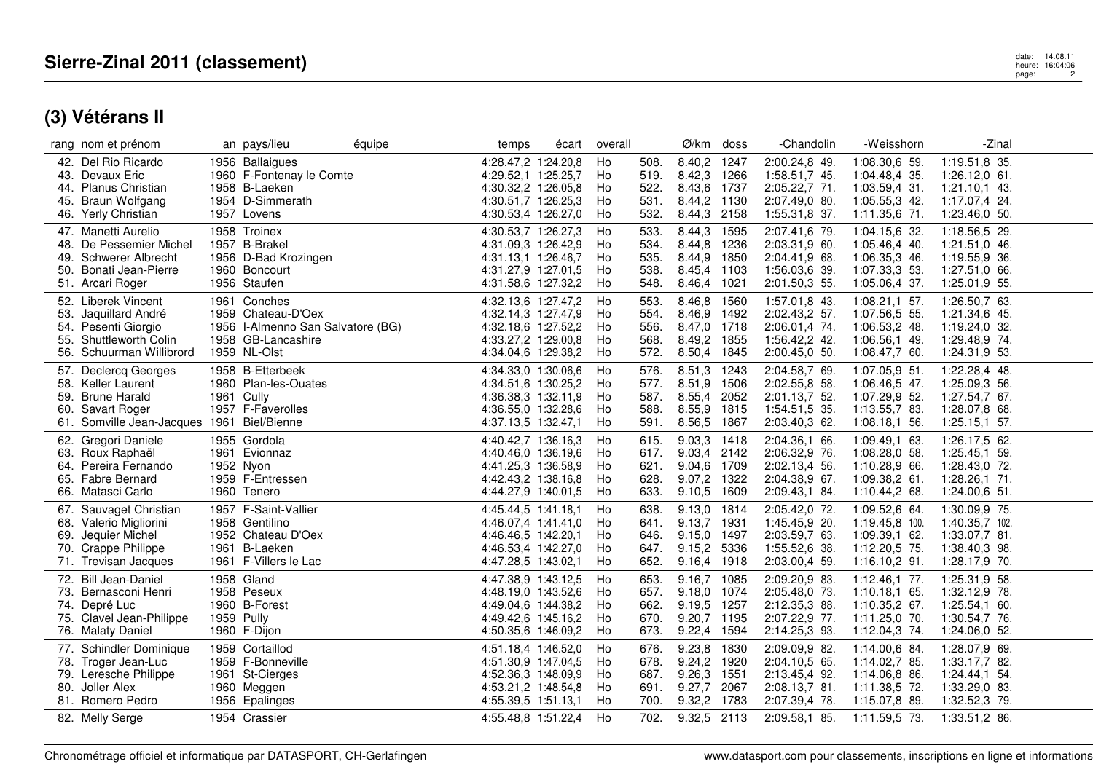|            | rang nom et prénom                                                                                                               |            | an pays/lieu                                                                                                  | équipe | temps                                                                                                           | écart | overall                    |                                      | Ø/km                                                               | doss                                 | -Chandolin                                                                        | -Weisshorn                                                                          | -Zinal                                                                                |  |
|------------|----------------------------------------------------------------------------------------------------------------------------------|------------|---------------------------------------------------------------------------------------------------------------|--------|-----------------------------------------------------------------------------------------------------------------|-------|----------------------------|--------------------------------------|--------------------------------------------------------------------|--------------------------------------|-----------------------------------------------------------------------------------|-------------------------------------------------------------------------------------|---------------------------------------------------------------------------------------|--|
| 44.<br>45. | 42. Del Rio Ricardo<br>43. Devaux Eric<br>Planus Christian<br>Braun Wolfgang<br>46. Yerly Christian                              |            | 1956 Ballaigues<br>1960 F-Fontenay le Comte<br>1958 B-Laeken<br>1954 D-Simmerath<br>1957 Lovens               |        | 4:28.47,2 1:24.20,8<br>4:29.52,1 1:25.25,7<br>4:30.32,2 1:26.05,8<br>4:30.51,7 1:26.25,3<br>4:30.53,4 1:26.27,0 |       | Ho<br>Ho<br>Ho<br>Ho<br>Ho | 508.<br>519.<br>522.<br>531.<br>532. | 8.40,2 1247<br>8.42,3 1266<br>8.43,6 1737<br>8.44,2<br>8.44,3 2158 | 1130                                 | 2:00.24,8 49.<br>1:58.51,7 45.<br>2:05.22,7 71.<br>2:07.49,0 80.<br>1:55.31,8 37. | 1:08.30,6 59.<br>1:04.48,4 35.<br>1:03.59,4 31.<br>1:05.55,3 42.<br>1:11.35,6 71.   | 1:19.51,8 35.<br>$1:26.12,0$ 61.<br>$1:21.10,1$ 43.<br>1:17.07,4 24.<br>1:23.46,0 50. |  |
|            | 47. Manetti Aurelio<br>48. De Pessemier Michel<br>49. Schwerer Albrecht<br>50. Bonati Jean-Pierre<br>51. Arcari Roger            |            | 1958 Troinex<br>1957 B-Brakel<br>1956 D-Bad Krozingen<br>1960 Boncourt<br>1956 Staufen                        |        | 4:30.53,7 1:26.27,3<br>4:31.09,3 1:26.42,9<br>4:31.13.1 1:26.46.7<br>4:31.27,9 1:27.01,5<br>4:31.58,6 1:27.32,2 |       | Ho<br>Ho<br>Ho<br>Ho<br>Ho | 533.<br>534.<br>535.<br>538.<br>548. | 8.44,3<br>8.44,8<br>8.44,9 1850<br>8.45,4 1103<br>8.46,4 1021      | 1595<br>1236                         | 2:07.41,6 79.<br>2:03.31,9 60.<br>2:04.41,9 68.<br>1:56.03,6 39.<br>2:01.50,3 55. | 1:04.15,6 32.<br>1:05.46,4 40.<br>1:06.35,3 46.<br>1:07.33,3 53.<br>1:05.06,4 37.   | 1:18.56,5 29.<br>1:21.51,0 46.<br>1:19.55,9 36.<br>1:27.51,0 66.<br>1:25.01,9 55.     |  |
| 54.        | 52. Liberek Vincent<br>53. Jaquillard André<br>Pesenti Giorgio<br>55. Shuttleworth Colin<br>56. Schuurman Willibrord             |            | 1961 Conches<br>1959 Chateau-D'Oex<br>1956 I-Almenno San Salvatore (BG)<br>1958 GB-Lancashire<br>1959 NL-Olst |        | 4:32.13,6 1:27.47,2<br>4:32.14,3 1:27.47,9<br>4:32.18,6 1:27.52,2<br>4:33.27,2 1:29.00,8<br>4:34.04,6 1:29.38,2 |       | Ho<br>Ho<br>Ho<br>Ho<br>Ho | 553.<br>554.<br>556.<br>568.<br>572. | 8.46,8<br>8.46,9<br>8.47,0<br>8.49.2 1855<br>8.50,4 1845           | 1560<br>1492<br>1718                 | 1:57.01,8 43.<br>2:02.43,2 57.<br>2:06.01,4 74.<br>1:56.42,2 42.<br>2:00.45,0 50. | $1:08.21,1$ 57.<br>1:07.56,5 55.<br>1:06.53,2 48.<br>1:06.56,1 49.<br>1:08.47,7 60. | 1:26.50,7 63.<br>1:21.34,6 45.<br>$1:19.24,0$ 32.<br>1:29.48,9 74.<br>1:24.31,9 53.   |  |
|            | 57. Declercq Georges<br>58. Keller Laurent<br>59. Brune Harald<br>60. Savart Roger<br>61. Somville Jean-Jacques 1961 Biel/Bienne | 1961 Cully | 1958 B-Etterbeek<br>1960 Plan-les-Ouates<br>1957 F-Faverolles                                                 |        | 4:34.33,0 1:30.06,6<br>4:34.51,6 1:30.25,2<br>4:36.38.3 1:32.11.9<br>4:36.55,0 1:32.28,6<br>4:37.13,5 1:32.47,1 |       | Ho<br>Ho<br>Ho<br>Ho<br>Ho | 576.<br>577.<br>587.<br>588.<br>591. | 8.51,3<br>8.51,9<br>8.55,4<br>8.55,9<br>8.56,5                     | 1243<br>1506<br>2052<br>1815<br>1867 | 2:04.58,7 69.<br>2:02.55,8 58.<br>2:01.13,7 52.<br>1:54.51,5 35.<br>2:03.40,3 62. | 1:07.05,9 51.<br>1:06.46,5 47.<br>1:07.29,9 52.<br>1:13.55,7 83.<br>1:08.18,1 56.   | 1:22.28,4 48.<br>1:25.09,3 56.<br>1:27.54,7 67.<br>1:28.07,8 68.<br>1:25.15,157.      |  |
|            | 62. Gregori Daniele<br>63. Roux Raphaël<br>64. Pereira Fernando<br>65. Fabre Bernard<br>66. Matasci Carlo                        |            | 1955 Gordola<br>1961 Evionnaz<br>1952 Nyon<br>1959 F-Entressen<br>1960 Tenero                                 |        | 4:40.42,7 1:36.16,3<br>4:40.46,0 1:36.19,6<br>4:41.25.3 1:36.58.9<br>4:42.43,2 1:38.16,8<br>4:44.27,9 1:40.01,5 |       | Ho<br>Ho<br>Ho<br>Ho<br>Ho | 615.<br>617.<br>621.<br>628.<br>633. | 9.03,3 1418<br>9.03,4 2142<br>9.04,6 1709<br>9.07,2 1322<br>9.10,5 | 1609                                 | 2:04.36,1 66.<br>2:06.32,9 76.<br>2:02.13,4 56.<br>2:04.38,9 67.<br>2:09.43,1 84. | 1:09.49,1 63.<br>1:08.28,0 58.<br>1:10.28,9 66.<br>1:09.38,2 61.<br>1:10.44,2 68.   | 1:26.17,5 62.<br>1:25.45,1 59.<br>1:28.43.0 72.<br>1:28.26,1 71.<br>$1:24.00,6$ 51.   |  |
|            | 67. Sauvaget Christian<br>68. Valerio Migliorini<br>69. Jequier Michel<br>70. Crappe Philippe<br>71. Trevisan Jacques            |            | 1957 F-Saint-Vallier<br>1958 Gentilino<br>1952 Chateau D'Oex<br>1961 B-Laeken<br>1961 F-Villers le Lac        |        | 4:45.44,5 1:41.18,1<br>4:46.07,4 1:41.41,0<br>4:46.46.5 1:42.20.1<br>4:46.53,4 1:42.27,0<br>4:47.28,5 1:43.02,1 |       | Ho<br>Ho<br>Ho<br>Ho<br>Ho | 638.<br>641.<br>646.<br>647.<br>652. | 9.13,0<br>9.13,7<br>9.15,0 1497<br>9.15,2<br>9.16,4 1918           | 1814<br>1931<br>5336                 | 2:05.42,0 72.<br>1:45.45,9 20.<br>2:03.59,7 63.<br>1:55.52,6 38.<br>2:03.00,4 59. | 1:09.52,6 64.<br>1:19.45.8 100.<br>1:09.39,1 62.<br>1:12.20,5 75.<br>1:16.10,2 91.  | 1:30.09,9 75.<br>1:40.35,7 102.<br>1:33.07,7 81.<br>1:38.40,3 98.<br>1:28.17,9 70.    |  |
|            | 72. Bill Jean-Daniel<br>73. Bernasconi Henri<br>74. Depré Luc<br>75. Clavel Jean-Philippe<br>76. Malaty Daniel                   | 1959 Pully | 1958 Gland<br>1958 Peseux<br>1960 B-Forest<br>1960 F-Dijon                                                    |        | 4:47.38.9 1:43.12.5<br>4:48.19,0 1:43.52,6<br>4:49.04,6 1:44.38,2<br>4:49.42.6 1:45.16.2<br>4:50.35,6 1:46.09,2 |       | Ho<br>Ho<br>Ho<br>Ho<br>Ho | 653.<br>657.<br>662.<br>670.<br>673. | 9.16,7 1085<br>9.18,0 1074<br>9.19,5 1257<br>9.20,7<br>9.22,4 1594 | 1195                                 | 2:09.20,9 83.<br>2:05.48,0 73.<br>2:12.35,3 88.<br>2:07.22,9 77.<br>2:14.25,3 93. | $1:12.46,1$ 77.<br>1:10.18,1 65.<br>1:10.35,2 67.<br>1:11.25,0 70.<br>1:12.04,3 74. | 1:25.31,9 58.<br>1:32.12,9 78.<br>$1:25.54,1$ 60.<br>1:30.54,7 76.<br>1:24.06,0 52.   |  |
|            | 77. Schindler Dominique<br>78. Troger Jean-Luc<br>79. Leresche Philippe<br>80. Joller Alex<br>81. Romero Pedro                   |            | 1959 Cortaillod<br>1959 F-Bonneville<br>1961 St-Cierges<br>1960 Meggen<br>1956 Epalinges                      |        | 4:51.18.4 1:46.52.0<br>4:51.30.9 1:47.04.5<br>4:52.36,3 1:48.09,9<br>4:53.21,2 1:48.54,8<br>4:55.39,5 1:51.13,1 |       | Ho<br>Ho<br>Ho<br>Ho<br>Ho | 676.<br>678.<br>687.<br>691.<br>700. | 9.23,8<br>9.24,2 1920<br>9.26,3 1551<br>9.27,7<br>9.32,2 1783      | 1830<br>2067                         | 2:09.09,9 82.<br>2:04.10.5 65.<br>2:13.45,4 92.<br>2:08.13,7 81.<br>2:07.39,4 78. | 1:14.00.6 84.<br>1:14.02,7 85.<br>1:14.06,8 86.<br>1:11.38,5 72.<br>1:15.07,8 89.   | 1:28.07.9 69.<br>1:33.17,7 82.<br>1:24.44,1 54.<br>1:33.29,0 83.<br>1:32.52,3 79.     |  |
|            | 82. Melly Serge                                                                                                                  |            | 1954 Crassier                                                                                                 |        | 4:55.48,8 1:51.22,4                                                                                             |       | Ho                         | 702.                                 | 9.32,5 2113                                                        |                                      | 2:09.58,1 85.                                                                     | 1:11.59,5 73.                                                                       | 1:33.51,2 86.                                                                         |  |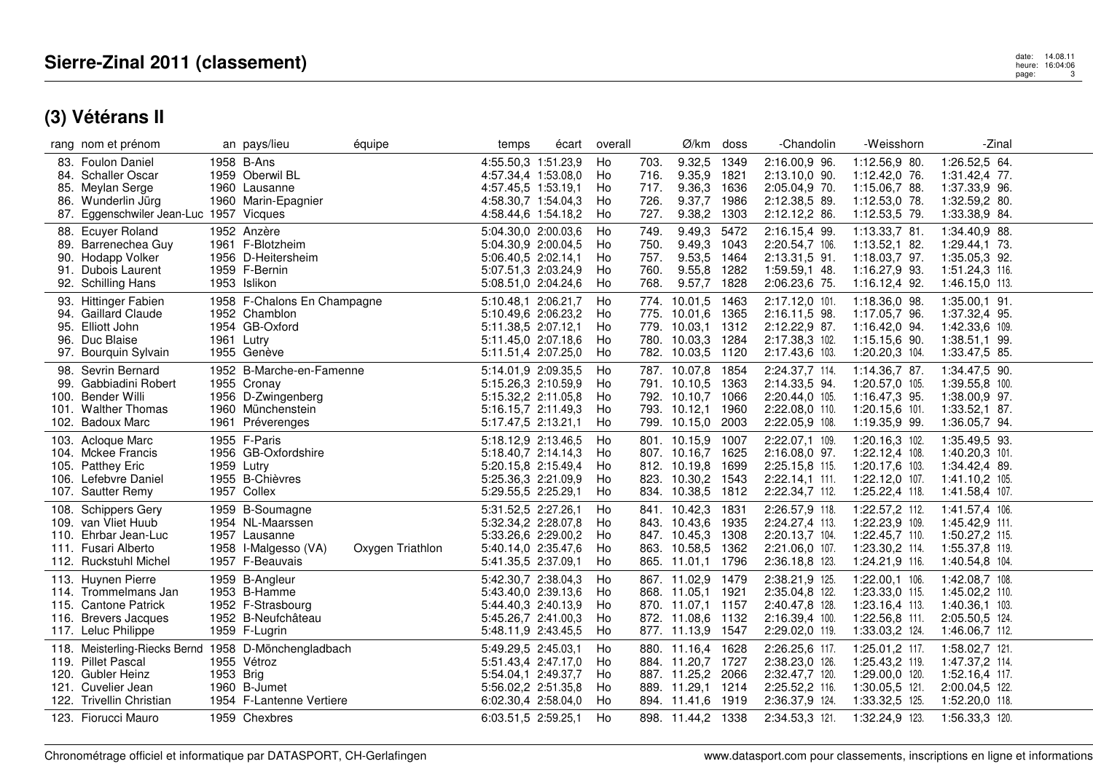|      | rang nom et prénom                                   |           | an pays/lieu                | équipe           | temps               | écart | overall |      | $\varnothing$ /km doss |      | -Chandolin       | -Weisshorn      | -Zinal          |  |
|------|------------------------------------------------------|-----------|-----------------------------|------------------|---------------------|-------|---------|------|------------------------|------|------------------|-----------------|-----------------|--|
|      | 83. Foulon Daniel                                    |           | 1958 B-Ans                  |                  | 4:55.50,3 1:51.23,9 |       | Ho      | 703. | 9.32,5                 | 1349 | 2:16.00,9 96.    | 1:12.56,9 80.   | 1:26.52,5 64.   |  |
|      | 84. Schaller Oscar                                   |           | 1959 Oberwil BL             |                  | 4:57.34.4 1:53.08.0 |       | Ho      | 716. | 9.35,9 1821            |      | 2:13.10,0 90.    | 1:12.42,0 76.   | 1:31.42,4 77.   |  |
| 85.  | Meylan Serge                                         |           | 1960 Lausanne               |                  | 4:57.45,5 1:53.19,1 |       | Ho      | 717. | 9.36,3                 | 1636 | 2:05.04,9 70.    | 1:15.06,7 88.   | 1:37.33,9 96.   |  |
| 86.  | Wunderlin Jürg                                       |           | 1960 Marin-Epagnier         |                  | 4:58.30,7 1:54.04,3 |       | Ho      | 726. | 9.37,7                 | 1986 | 2:12.38,5 89.    | $1:12.53,0$ 78. | 1:32.59,2 80.   |  |
|      | 87. Eggenschwiler Jean-Luc 1957 Vicques              |           |                             |                  | 4:58.44,6 1:54.18,2 |       | Ho      | 727. | 9.38,2                 | 1303 | 2:12.12,2 86.    | 1:12.53,5 79.   | 1:33.38,9 84.   |  |
|      |                                                      |           |                             |                  |                     |       |         |      |                        |      |                  |                 |                 |  |
|      | 88. Ecuyer Roland                                    |           | 1952 Anzère                 |                  | 5:04.30,0 2:00.03,6 |       | Ho      | 749. | 9.49,3 5472            |      | 2:16.15,4 99.    | 1:13.33,7 81.   | 1:34.40,9 88.   |  |
| 89.  | Barrenechea Guy                                      |           | 1961 F-Blotzheim            |                  | 5:04.30,9 2:00.04,5 |       | Ho      | 750. | 9.49,3 1043            |      | 2:20.54,7 106.   | $1:13.52,1$ 82. | 1:29.44,1 73.   |  |
|      | 90. Hodapp Volker                                    |           | 1956 D-Heitersheim          |                  | 5:06.40.5 2:02.14.1 |       | Ho      | 757. | 9.53,5 1464            |      | 2:13.31,5 91.    | 1:18.03,7 97.   | 1:35.05.3 92.   |  |
|      | 91. Dubois Laurent                                   |           | 1959 F-Bernin               |                  | 5:07.51,3 2:03.24,9 |       | Ho      | 760. | 9.55,8                 | 1282 | 1:59.59,1 48.    | 1:16.27,9 93.   | 1:51.24,3 116.  |  |
|      | 92. Schilling Hans                                   |           | 1953 Islikon                |                  | 5:08.51,0 2:04.24,6 |       | Ho      | 768. | 9.57,7                 | 1828 | 2:06.23,6 75.    | 1:16.12,4 92.   | 1:46.15,0 113.  |  |
|      | 93. Hittinger Fabien                                 |           | 1958 F-Chalons En Champagne |                  | 5:10.48.1 2:06.21.7 |       | Ho      |      | 774. 10.01,5 1463      |      | 2:17.12,0 101.   | $1:18.36,0$ 98. | $1:35.00,1$ 91. |  |
| 94.  | <b>Gaillard Claude</b>                               |           | 1952 Chamblon               |                  | 5:10.49.6 2:06.23.2 |       | Ho      |      | 775. 10.01,6 1365      |      | 2:16.11,5 98.    | 1:17.05,7 96.   | 1:37.32,4 95.   |  |
| 95.  | Elliott John                                         |           | 1954 GB-Oxford              |                  | 5:11.38,5 2:07.12,1 |       | Ho      |      | 779. 10.03,1 1312      |      | $2:12.22,9$ 87.  | 1:16.42,0 94.   | 1:42.33,6 109.  |  |
| 96.  | Duc Blaise                                           |           | 1961 Lutry                  |                  | 5:11.45,0 2:07.18,6 |       | Ho      |      | 780. 10.03,3 1284      |      | 2:17.38,3 102.   | 1:15.15,6 90.   | $1:38.51,1$ 99. |  |
|      | 97. Bourquin Sylvain                                 |           | 1955 Genève                 |                  | 5:11.51,4 2:07.25,0 |       | Ho      |      | 782. 10.03,5 1120      |      | 2:17.43,6 103.   | 1:20.20,3 104.  | 1:33.47,5 85.   |  |
|      |                                                      |           |                             |                  |                     |       |         |      |                        |      |                  |                 |                 |  |
|      | 98. Sevrin Bernard                                   |           | 1952 B-Marche-en-Famenne    |                  | 5:14.01,9 2:09.35,5 |       | Ho      |      | 787. 10.07,8 1854      |      | 2:24.37,7 114.   | 1:14.36,7 87.   | 1:34.47,5 90.   |  |
| 99.  | Gabbiadini Robert                                    |           | 1955 Cronay                 |                  | 5:15.26,3 2:10.59,9 |       | Ho      |      | 791. 10.10,5 1363      |      | 2:14.33,5 94.    | 1:20.57,0 105.  | 1:39.55,8 100.  |  |
| 100. | Bender Willi                                         |           | 1956 D-Zwingenberg          |                  | 5:15.32,2 2:11.05,8 |       | Ho      |      | 792. 10.10,7 1066      |      | 2:20.44,0 105.   | 1:16.47,3 95.   | 1:38.00,9 97.   |  |
|      | 101. Walther Thomas                                  |           | 1960 Münchenstein           |                  | 5:16.15,7 2:11.49,3 |       | Ho      |      | 793. 10.12,1 1960      |      | 2:22.08,0 110.   | 1:20.15,6 101.  | 1:33.52,1 87.   |  |
|      | 102. Badoux Marc                                     |           | 1961 Préverenges            |                  | 5:17.47,5 2:13.21,1 |       | Ho      |      | 799. 10.15,0 2003      |      | 2:22.05,9 108.   | 1:19.35,9 99.   | 1:36.05,7 94.   |  |
|      | 103. Acloque Marc                                    |           | 1955 F-Paris                |                  | 5:18.12,9 2:13.46,5 |       | Ho      |      | 801. 10.15,9 1007      |      | 2:22.07,1 109.   | 1:20.16,3 102.  | 1:35.49,5 93.   |  |
|      | 104. Mckee Francis                                   |           | 1956 GB-Oxfordshire         |                  | 5:18.40,7 2:14.14,3 |       | Ho      |      | 807. 10.16,7 1625      |      | 2:16.08,0 97.    | 1:22.12,4 108.  | 1:40.20,3 101.  |  |
|      | 105. Patthey Eric                                    |           | 1959 Lutry                  |                  | 5:20.15,8 2:15.49,4 |       | Ho      |      | 812. 10.19,8 1699      |      | 2:25.15,8 115.   | 1:20.17,6 103.  | 1:34.42,4 89.   |  |
|      | 106. Lefebvre Daniel                                 |           | 1955 B-Chièvres             |                  | 5:25.36,3 2:21.09,9 |       | Ho      | 823. | 10.30,2 1543           |      | $2:22.14,1$ 111. | 1:22.12,0 107.  | 1:41.10,2 105.  |  |
|      | 107. Sautter Remy                                    |           | 1957 Collex                 |                  | 5:29.55,5 2:25.29,1 |       | Ho      |      | 834. 10.38,5 1812      |      | 2:22.34,7 112.   | 1:25.22,4 118.  | 1:41.58,4 107.  |  |
|      |                                                      |           |                             |                  |                     |       |         |      |                        |      |                  |                 |                 |  |
|      | 108. Schippers Gery                                  |           | 1959 B-Soumagne             |                  | 5:31.52,5 2:27.26,1 |       | Ho      |      | 841. 10.42,3 1831      |      | 2:26.57,9 118.   | 1:22.57,2 112.  | 1:41.57,4 106.  |  |
|      | 109. van Vliet Huub                                  |           | 1954 NL-Maarssen            |                  | 5:32.34,2 2:28.07,8 |       | Ho      |      | 843. 10.43,6 1935      |      | 2:24.27,4 113.   | 1:22.23,9 109.  | 1:45.42,9 111.  |  |
|      | 110. Ehrbar Jean-Luc                                 |           | 1957 Lausanne               |                  | 5:33.26,6 2:29.00,2 |       | Ho      |      | 847. 10.45,3 1308      |      | 2:20.13.7 104.   | 1:22.45,7 110.  | 1:50.27,2 115.  |  |
|      | 111. Fusari Alberto                                  |           | 1958 l-Malgesso (VA)        | Oxygen Triathlon | 5:40.14,0 2:35.47,6 |       | Ho      | 863. | 10.58,5 1362           |      | 2:21.06,0 107.   | 1:23.30,2 114.  | 1:55.37,8 119.  |  |
|      | 112. Ruckstuhl Michel                                |           | 1957 F-Beauvais             |                  | 5:41.35,5 2:37.09,1 |       | Ho      |      | 865. 11.01,1 1796      |      | 2:36.18,8 123.   | 1:24.21,9 116.  | 1:40.54,8 104.  |  |
|      | 113. Huynen Pierre                                   |           | 1959 B-Angleur              |                  | 5:42.30,7 2:38.04,3 |       | Ho      |      | 867. 11.02,9 1479      |      | 2:38.21,9 125.   | 1:22.00,1 106.  | 1:42.08,7 108.  |  |
|      | 114. Trommelmans Jan                                 |           | 1953 B-Hamme                |                  | 5:43.40,0 2:39.13,6 |       | Ho      |      | 868. 11.05,1 1921      |      | 2:35.04,8 122.   | 1:23.33,0 115.  | 1:45.02,2 110.  |  |
|      | 115. Cantone Patrick                                 |           | 1952 F-Strasbourg           |                  | 5:44.40,3 2:40.13,9 |       | Ho      |      | 870. 11.07,1 1157      |      | 2:40.47,8 128.   | 1:23.16,4 113.  | 1:40.36,1 103.  |  |
|      |                                                      |           |                             |                  |                     |       |         |      |                        |      |                  |                 |                 |  |
|      | 116. Brevers Jacques                                 |           | 1952 B-Neufchâteau          |                  | 5:45.26,7 2:41.00,3 |       | Ho      |      | 872. 11.08.6 1132      |      | 2:16.39,4 100.   | 1:22.56,8 111.  | 2:05.50,5 124.  |  |
|      | 117. Leluc Philippe                                  |           | 1959 F-Lugrin               |                  | 5:48.11,9 2:43.45,5 |       | Ho      |      | 877. 11.13,9 1547      |      | 2:29.02,0 119.   | 1:33.03,2 124.  | 1:46.06,7 112.  |  |
|      | 118. Meisterling-Riecks Bernd 1958 D-Mönchengladbach |           |                             |                  | 5:49.29,5 2:45.03,1 |       | Ho      |      | 880. 11.16,4 1628      |      | 2:26.25,6 117.   | 1:25.01,2 117.  | 1:58.02,7 121.  |  |
|      | 119. Pillet Pascal                                   |           | 1955 Vétroz                 |                  | 5:51.43,4 2:47.17,0 |       | Ho      |      | 884. 11.20,7 1727      |      | 2:38.23,0 126.   | 1:25.43,2 119.  | 1:47.37,2 114.  |  |
|      | 120. Gubler Heinz                                    | 1953 Brig |                             |                  | 5:54.04,1 2:49.37,7 |       | Ho      |      | 887. 11.25,2 2066      |      | 2:32.47,7 120.   | 1:29.00,0 120.  | 1:52.16,4 117.  |  |
|      | 121. Cuvelier Jean                                   |           | 1960 B-Jumet                |                  | 5:56.02,2 2:51.35,8 |       | Ho      |      | 889. 11.29,1 1214      |      | 2:25.52,2 116.   | 1:30.05,5 121.  | 2:00.04,5 122.  |  |
|      | 122. Trivellin Christian                             |           | 1954 F-Lantenne Vertiere    |                  | 6:02.30,4 2:58.04,0 |       | Ho      |      | 894. 11.41,6 1919      |      | 2:36.37,9 124.   | 1:33.32,5 125.  | 1:52.20,0 118.  |  |
|      |                                                      |           |                             |                  |                     |       |         |      |                        |      |                  |                 |                 |  |
|      | 123. Fiorucci Mauro                                  |           | 1959 Chexbres               |                  | 6:03.51,5 2:59.25,1 |       | Ho      |      | 898. 11.44,2 1338      |      | 2:34.53,3 121.   | 1:32.24,9 123.  | 1:56.33,3 120.  |  |